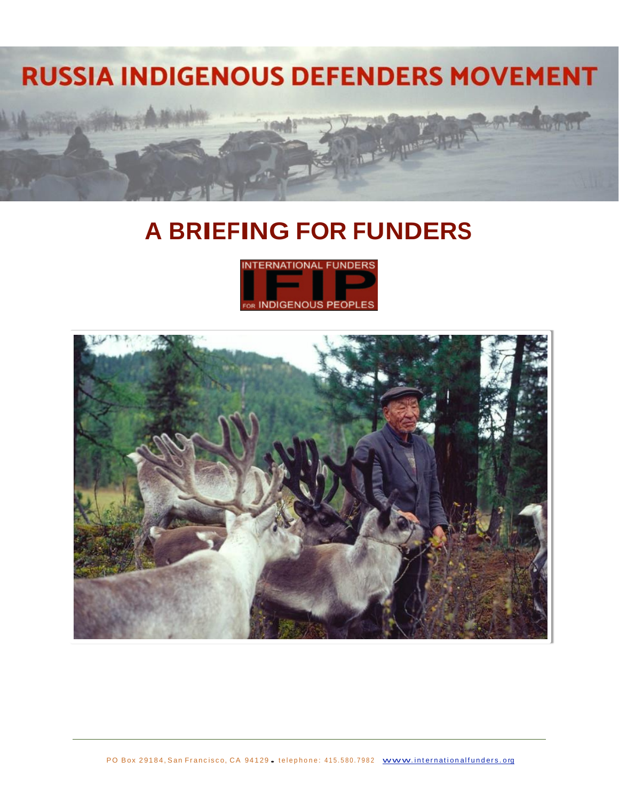

# **A BRIEFING FOR FUNDERS**



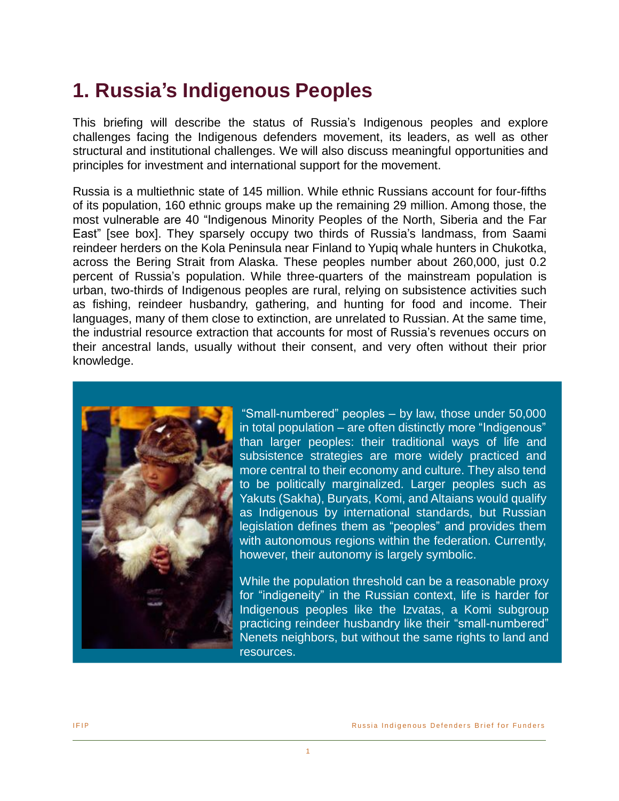## **1. Russia's Indigenous Peoples**

This briefing will describe the status of Russia's Indigenous peoples and explore challenges facing the Indigenous defenders movement, its leaders, as well as other structural and institutional challenges. We will also discuss meaningful opportunities and principles for investment and international support for the movement.

Russia is a multiethnic state of 145 million. While ethnic Russians account for four-fifths of its population, 160 ethnic groups make up the remaining 29 million. Among those, the most vulnerable are 40 "Indigenous Minority Peoples of the North, Siberia and the Far East" [see box]. They sparsely occupy two thirds of Russia's landmass, from Saami reindeer herders on the Kola Peninsula near Finland to Yupiq whale hunters in Chukotka, across the Bering Strait from Alaska. These peoples number about 260,000, just 0.2 percent of Russia's population. While three-quarters of the mainstream population is urban, two-thirds of Indigenous peoples are rural, relying on subsistence activities such as fishing, reindeer husbandry, gathering, and hunting for food and income. Their languages, many of them close to extinction, are unrelated to Russian. At the same time, the industrial resource extraction that accounts for most of Russia's revenues occurs on their ancestral lands, usually without their consent, and very often without their prior knowledge.



"Small-numbered" peoples – by law, those under 50,000 in total population – are often distinctly more "Indigenous" than larger peoples: their traditional ways of life and subsistence strategies are more widely practiced and more central to their economy and culture. They also tend to be politically marginalized. Larger peoples such as Yakuts (Sakha), Buryats, Komi, and Altaians would qualify as Indigenous by international standards, but Russian legislation defines them as "peoples" and provides them with autonomous regions within the federation. Currently, however, their autonomy is largely symbolic.

While the population threshold can be a reasonable proxy for "indigeneity" in the Russian context, life is harder for Indigenous peoples like the Izvatas, a Komi subgroup practicing reindeer husbandry like their "small-numbered" Nenets neighbors, but without the same rights to land and resources.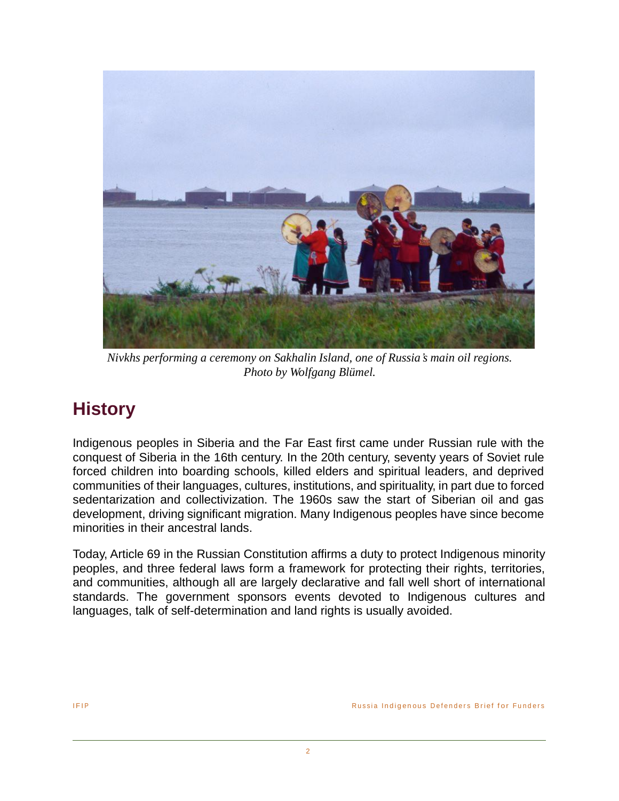

*Nivkhs performing a ceremony on Sakhalin Island, one of Russia's main oil regions. Photo by Wolfgang Blümel.*

## **History**

Indigenous peoples in Siberia and the Far East first came under Russian rule with the conquest of Siberia in the 16th century. In the 20th century, seventy years of Soviet rule forced children into boarding schools, killed elders and spiritual leaders, and deprived communities of their languages, cultures, institutions, and spirituality, in part due to forced sedentarization and collectivization. The 1960s saw the start of Siberian oil and gas development, driving significant migration. Many Indigenous peoples have since become minorities in their ancestral lands.

Today, Article 69 in the Russian Constitution affirms a duty to protect Indigenous minority peoples, and three federal laws form a framework for protecting their rights, territories, and communities, although all are largely declarative and fall well short of international standards. The government sponsors events devoted to Indigenous cultures and languages, talk of self-determination and land rights is usually avoided.

2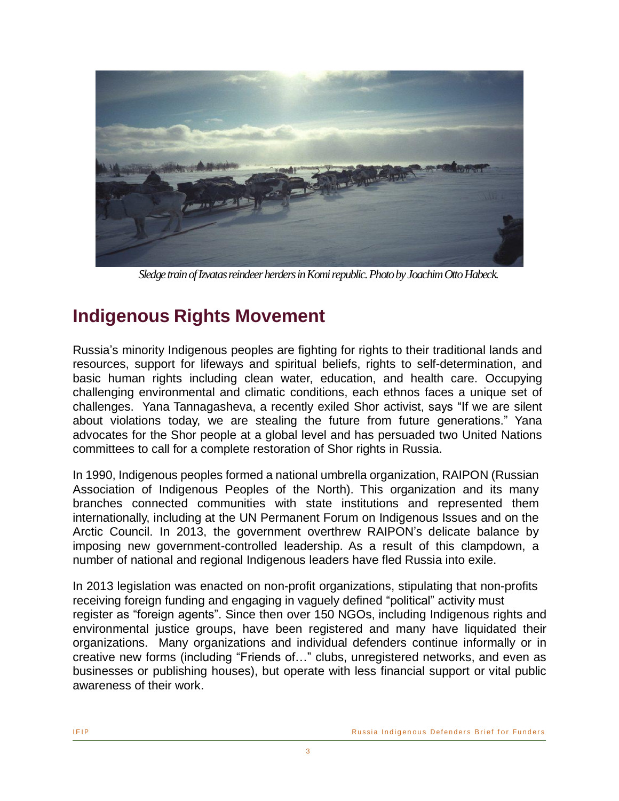

*Sledge train of Izvatas reindeer herders in Komi republic. Photo by Joachim Otto Habeck.*

### **Indigenous Rights Movement**

Russia's minority Indigenous peoples are fighting for rights to their traditional lands and resources, support for lifeways and spiritual beliefs, rights to self-determination, and basic human rights including clean water, education, and health care. Occupying challenging environmental and climatic conditions, each ethnos faces a unique set of challenges. Yana Tannagasheva, a recently exiled Shor activist, says "If we are silent about violations today, we are stealing the future from future generations." Yana advocates for the Shor people at a global level and has persuaded two United Nations committees to call for a complete restoration of Shor rights in Russia.

In 1990, Indigenous peoples formed a national umbrella organization, RAIPON (Russian Association of Indigenous Peoples of the North). This organization and its many branches connected communities with state institutions and represented them internationally, including at the UN Permanent Forum on Indigenous Issues and on the Arctic Council. In 2013, the government overthrew RAIPON's delicate balance by imposing new government-controlled leadership. As a result of this clampdown, a number of national and regional Indigenous leaders have fled Russia into exile.

In 2013 legislation was enacted on non-profit organizations, stipulating that non-profits receiving foreign funding and engaging in vaguely defined "political" activity must register as "foreign agents". Since then over 150 NGOs, including Indigenous rights and environmental justice groups, have been registered and many have liquidated their organizations. Many organizations and individual defenders continue informally or in creative new forms (including "Friends of…" clubs, unregistered networks, and even as businesses or publishing houses), but operate with less financial support or vital public awareness of their work.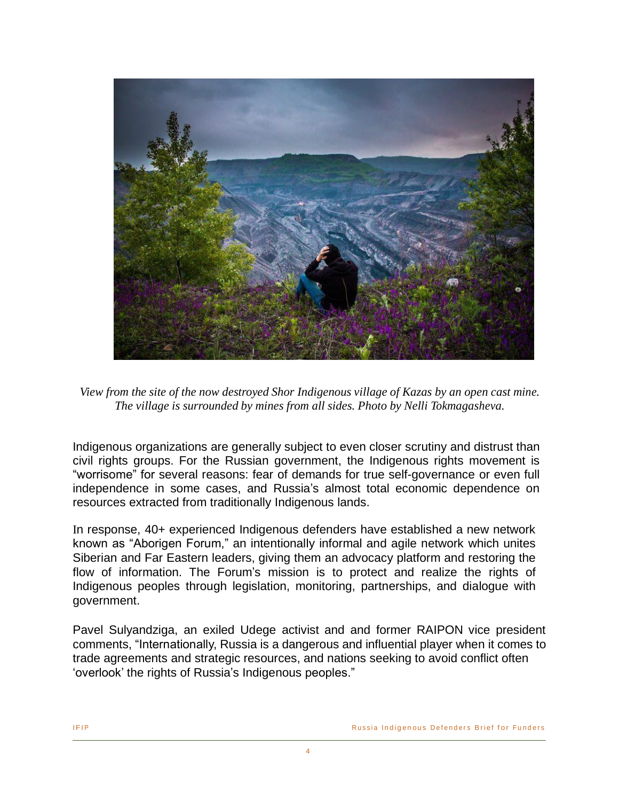

*View from the site of the now destroyed Shor Indigenous village of Kazas by an open cast mine. The village is surrounded by mines from all sides. Photo by Nelli Tokmagasheva.*

Indigenous organizations are generally subject to even closer scrutiny and distrust than civil rights groups. For the Russian government, the Indigenous rights movement is "worrisome" for several reasons: fear of demands for true self-governance or even full independence in some cases, and Russia's almost total economic dependence on resources extracted from traditionally Indigenous lands.

In response, 40+ experienced Indigenous defenders have established a new network known as "Aborigen Forum," an intentionally informal and agile network which unites Siberian and Far Eastern leaders, giving them an advocacy platform and restoring the flow of information. The Forum's mission is to protect and realize the rights of Indigenous peoples through legislation, monitoring, partnerships, and dialogue with government.

Pavel Sulyandziga, an exiled Udege activist and and former RAIPON vice president comments, "Internationally, Russia is a dangerous and influential player when it comes to trade agreements and strategic resources, and nations seeking to avoid conflict often 'overlook' the rights of Russia's Indigenous peoples."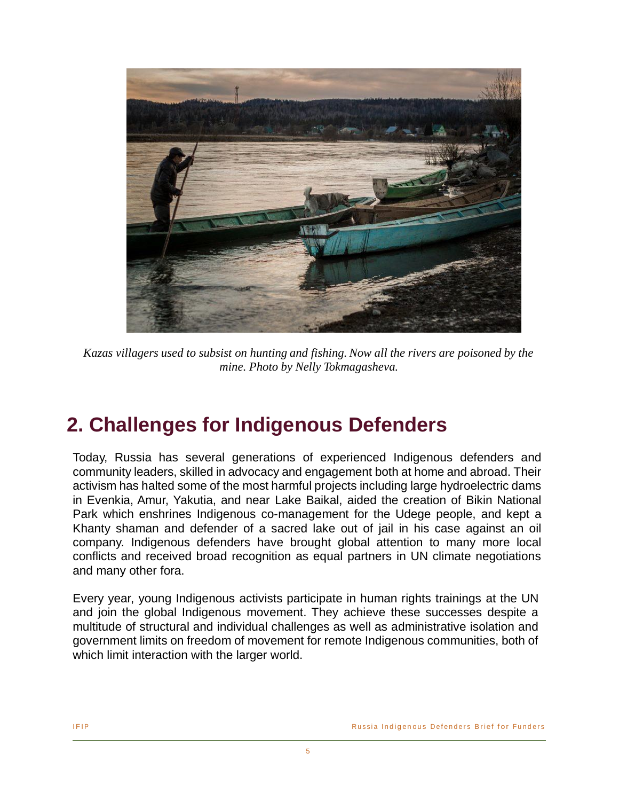

*Kazas villagers used to subsist on hunting and fishing. Now all the rivers are poisoned by the mine. Photo by Nelly Tokmagasheva.*

# **2. Challenges for Indigenous Defenders**

Today, Russia has several generations of experienced Indigenous defenders and community leaders, skilled in advocacy and engagement both at home and abroad. Their activism has halted some of the most harmful projects including large hydroelectric dams in Evenkia, Amur, Yakutia, and near Lake Baikal, aided the creation of Bikin National Park which enshrines Indigenous co-management for the Udege people, and kept a Khanty shaman and defender of a sacred lake out of jail in his case against an oil company. Indigenous defenders have brought global attention to many more local conflicts and received broad recognition as equal partners in UN climate negotiations and many other fora.

Every year, young Indigenous activists participate in human rights trainings at the UN and join the global Indigenous movement. They achieve these successes despite a multitude of structural and individual challenges as well as administrative isolation and government limits on freedom of movement for remote Indigenous communities, both of which limit interaction with the larger world.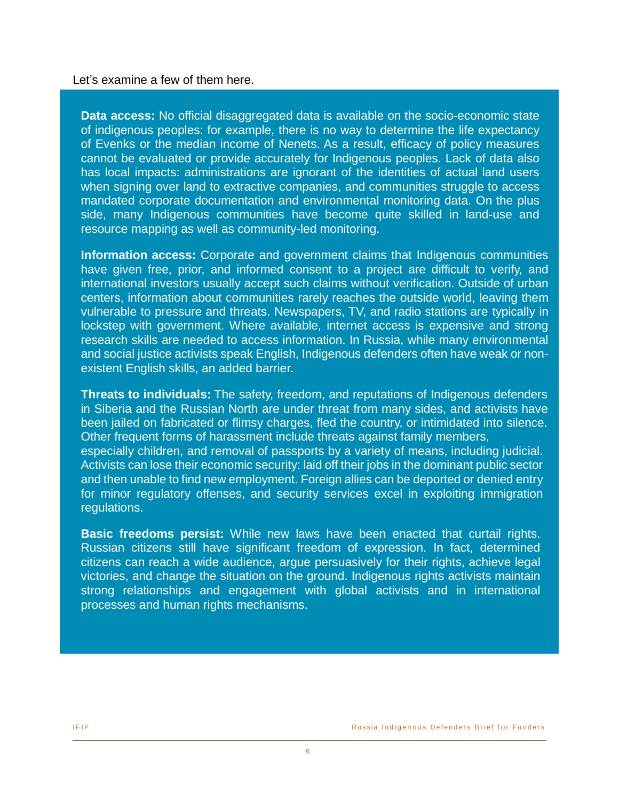Let's examine a few of them here.

**Data access:** No official disaggregated data is available on the socio-economic state of indigenous peoples: for example, there is no way to determine the life expectancy of Evenks or the median income of Nenets. As a result, efficacy of policy measures cannot be evaluated or provide accurately for Indigenous peoples. Lack of data also has local impacts: administrations are ignorant of the identities of actual land users when signing over land to extractive companies, and communities struggle to access mandated corporate documentation and environmental monitoring data. On the plus side, many Indigenous communities have become quite skilled in land-use and resource mapping as well as community-led monitoring.

**Information access:** Corporate and government claims that Indigenous communities have given free, prior, and informed consent to a project are difficult to verify, and international investors usually accept such claims without verification. Outside of urban centers, information about communities rarely reaches the outside world, leaving them vulnerable to pressure and threats. Newspapers, TV, and radio stations are typically in lockstep with government. Where available, internet access is expensive and strong research skills are needed to access information. In Russia, while many environmental and social justice activists speak English, Indigenous defenders often have weak or nonexistent English skills, an added barrier.

**Threats to individuals:** The safety, freedom, and reputations of Indigenous defenders in Siberia and the Russian North are under threat from many sides, and activists have been jailed on fabricated or flimsy charges, fled the country, or intimidated into silence. Other frequent forms of harassment include threats against family members, especially children, and removal of passports by a variety of means, including judicial. Activists can lose their economic security: laid off their jobs in the dominant public sector and then unable to find new employment. Foreign allies can be deported or denied entry for minor regulatory offenses, and security services excel in exploiting immigration regulations.

**Basic freedoms persist:** While new laws have been enacted that curtail rights. Russian citizens still have significant freedom of expression. In fact, determined citizens can reach a wide audience, argue persuasively for their rights, achieve legal victories, and change the situation on the ground. Indigenous rights activists maintain strong relationships and engagement with global activists and in international processes and human rights mechanisms.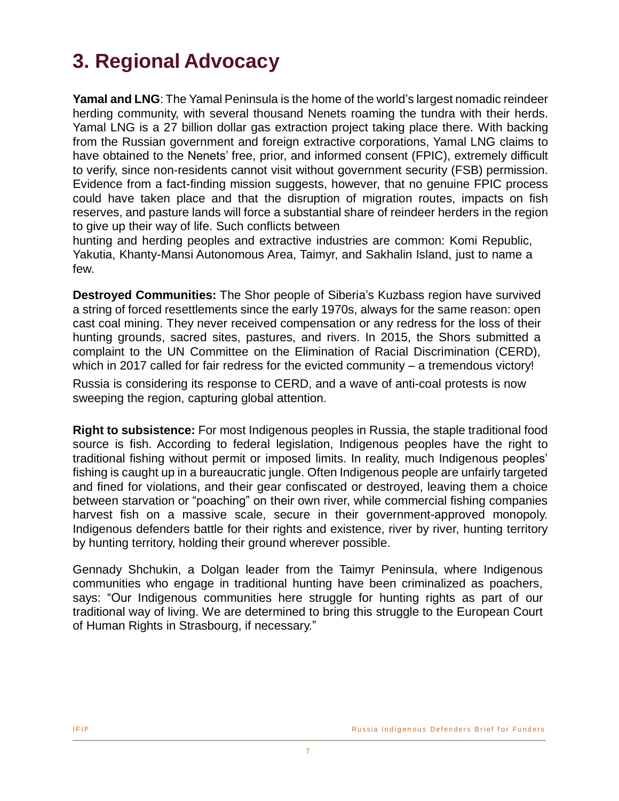# **3. Regional Advocacy**

**Yamal and LNG**: The Yamal Peninsula is the home of the world's largest nomadic reindeer herding community, with several thousand Nenets roaming the tundra with their herds. Yamal LNG is a 27 billion dollar gas extraction project taking place there. With backing from the Russian government and foreign extractive corporations, Yamal LNG claims to have obtained to the Nenets' free, prior, and informed consent (FPIC), extremely difficult to verify, since non-residents cannot visit without government security (FSB) permission. Evidence from a fact-finding mission suggests, however, that no genuine FPIC process could have taken place and that the disruption of migration routes, impacts on fish reserves, and pasture lands will force a substantial share of reindeer herders in the region to give up their way of life. Such conflicts between

hunting and herding peoples and extractive industries are common: Komi Republic, Yakutia, Khanty-Mansi Autonomous Area, Taimyr, and Sakhalin Island, just to name a few.

**Destroyed Communities:** The Shor people of Siberia's Kuzbass region have survived a string of forced resettlements since the early 1970s, always for the same reason: open cast coal mining. They never received compensation or any redress for the loss of their hunting grounds, sacred sites, pastures, and rivers. In 2015, the Shors submitted a complaint to the UN Committee on the Elimination of Racial Discrimination (CERD), which in 2017 called for fair redress for the evicted community – a tremendous victory!

Russia is considering its response to CERD, and a wave of anti-coal protests is now sweeping the region, capturing global attention.

**Right to subsistence:** For most Indigenous peoples in Russia, the staple traditional food source is fish. According to federal legislation, Indigenous peoples have the right to traditional fishing without permit or imposed limits. In reality, much Indigenous peoples' fishing is caught up in a bureaucratic jungle. Often Indigenous people are unfairly targeted and fined for violations, and their gear confiscated or destroyed, leaving them a choice between starvation or "poaching" on their own river, while commercial fishing companies harvest fish on a massive scale, secure in their government-approved monopoly. Indigenous defenders battle for their rights and existence, river by river, hunting territory by hunting territory, holding their ground wherever possible.

Gennady Shchukin, a Dolgan leader from the Taimyr Peninsula, where Indigenous communities who engage in traditional hunting have been criminalized as poachers, says: "Our Indigenous communities here struggle for hunting rights as part of our traditional way of living. We are determined to bring this struggle to the European Court of Human Rights in Strasbourg, if necessary."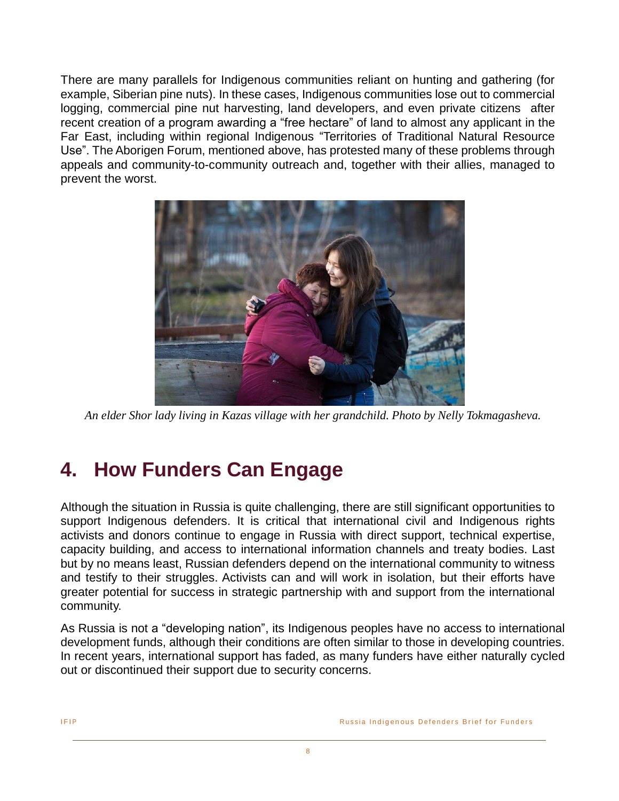There are many parallels for Indigenous communities reliant on hunting and gathering (for example, Siberian pine nuts). In these cases, Indigenous communities lose out to commercial logging, commercial pine nut harvesting, land developers, and even private citizens after recent creation of a program awarding a "free hectare" of land to almost any applicant in the Far East, including within regional Indigenous "Territories of Traditional Natural Resource Use". The Aborigen Forum, mentioned above, has protested many of these problems through appeals and community-to-community outreach and, together with their allies, managed to prevent the worst.



*An elder Shor lady living in Kazas village with her grandchild. Photo by Nelly Tokmagasheva.*

# **4. How Funders Can Engage**

Although the situation in Russia is quite challenging, there are still significant opportunities to support Indigenous defenders. It is critical that international civil and Indigenous rights activists and donors continue to engage in Russia with direct support, technical expertise, capacity building, and access to international information channels and treaty bodies. Last but by no means least, Russian defenders depend on the international community to witness and testify to their struggles. Activists can and will work in isolation, but their efforts have greater potential for success in strategic partnership with and support from the international community.

As Russia is not a "developing nation", its Indigenous peoples have no access to international development funds, although their conditions are often similar to those in developing countries. In recent years, international support has faded, as many funders have either naturally cycled out or discontinued their support due to security concerns.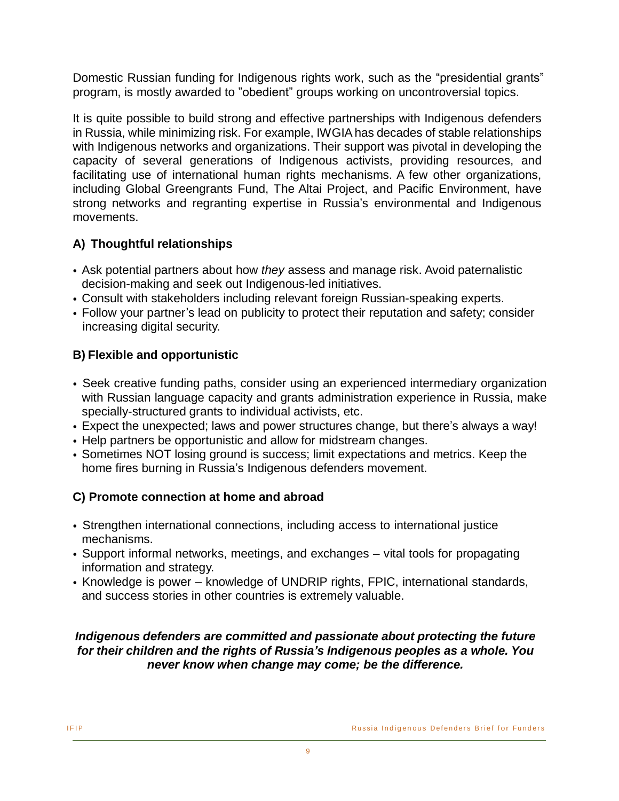Domestic Russian funding for Indigenous rights work, such as the "presidential grants" program, is mostly awarded to "obedient" groups working on uncontroversial topics.

It is quite possible to build strong and effective partnerships with Indigenous defenders in Russia, while minimizing risk. For example, IWGIA has decades of stable relationships with Indigenous networks and organizations. Their support was pivotal in developing the capacity of several generations of Indigenous activists, providing resources, and facilitating use of international human rights mechanisms. A few other organizations, including Global Greengrants Fund, The Altai Project, and Pacific Environment, have strong networks and regranting expertise in Russia's environmental and Indigenous movements.

### **A) Thoughtful relationships**

- Ask potential partners about how *they* assess and manage risk. Avoid paternalistic decision-making and seek out Indigenous-led initiatives.
- Consult with stakeholders including relevant foreign Russian-speaking experts.
- Follow your partner's lead on publicity to protect their reputation and safety; consider increasing digital security.

### **B) Flexible and opportunistic**

- Seek creative funding paths, consider using an experienced intermediary organization with Russian language capacity and grants administration experience in Russia, make specially-structured grants to individual activists, etc.
- Expect the unexpected; laws and power structures change, but there's always a way!
- Help partners be opportunistic and allow for midstream changes.
- Sometimes NOT losing ground is success; limit expectations and metrics. Keep the home fires burning in Russia's Indigenous defenders movement.

### **C) Promote connection at home and abroad**

- Strengthen international connections, including access to international justice mechanisms.
- Support informal networks, meetings, and exchanges vital tools for propagating information and strategy.
- Knowledge is power knowledge of UNDRIP rights, FPIC, international standards, and success stories in other countries is extremely valuable.

#### *Indigenous defenders are committed and passionate about protecting the future for their children and the rights of Russia's Indigenous peoples as a whole. You never know when change may come; be the difference.*